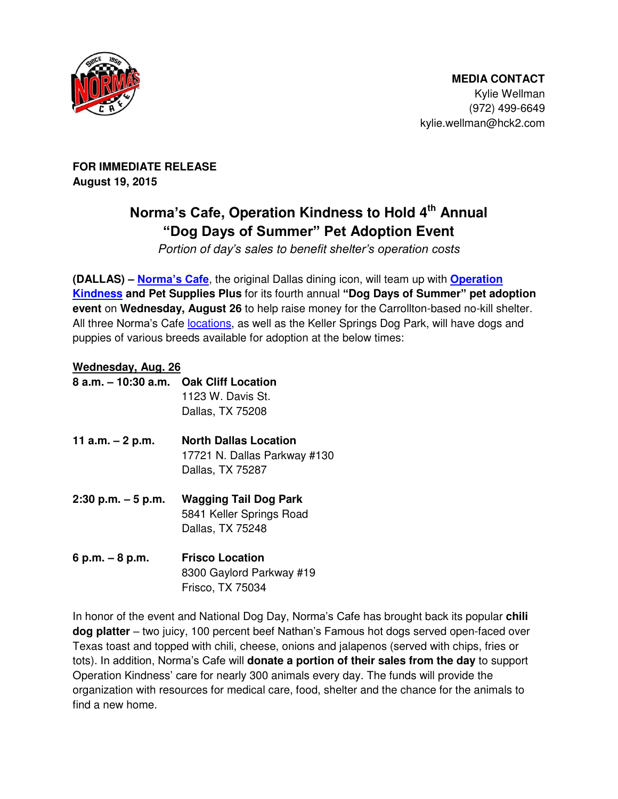

Kylie Wellman (972) 499-6649 kylie.wellman@hck2.com

**FOR IMMEDIATE RELEASE August 19, 2015**

# **Norma's Cafe, Operation Kindness to Hold 4th Annual "Dog Days of Summer" Pet Adoption Event**

*Portion of day's sales to benefit shelter's operation costs*

**(DALLAS) – [Norma's Cafe](http://normascafe.com/)**, the original Dallas dining icon, will team up with **[Operation](http://www.operationkindness.org/index.php)  [Kindness](http://www.operationkindness.org/index.php) and Pet Supplies Plus** for its fourth annual **"Dog Days of Summer" pet adoption event** on **Wednesday, August 26** to help raise money for the Carrollton-based no-kill shelter. All three Norma's Cafe [locations,](http://normascafe.com/locations/) as well as the Keller Springs Dog Park, will have dogs and puppies of various breeds available for adoption at the below times:

## **Wednesday, Aug. 26**

| $8$ a.m. $-10:30$ a.m. | <b>Oak Cliff Location</b><br>1123 W. Davis St.<br>Dallas, TX 75208               |
|------------------------|----------------------------------------------------------------------------------|
| 11 a.m. $-2$ p.m.      | <b>North Dallas Location</b><br>17721 N. Dallas Parkway #130<br>Dallas, TX 75287 |
| $2:30$ p.m. $-5$ p.m.  | <b>Wagging Tail Dog Park</b><br>5841 Keller Springs Road<br>Dallas, TX 75248     |

**6 p.m. – 8 p.m. Frisco Location** 8300 Gaylord Parkway #19 Frisco, TX 75034

In honor of the event and National Dog Day, Norma's Cafe has brought back its popular **chili dog platter** – two juicy, 100 percent beef Nathan's Famous hot dogs served open-faced over Texas toast and topped with chili, cheese, onions and jalapenos (served with chips, fries or tots). In addition, Norma's Cafe will **donate a portion of their sales from the day** to support Operation Kindness' care for nearly 300 animals every day. The funds will provide the organization with resources for medical care, food, shelter and the chance for the animals to find a new home.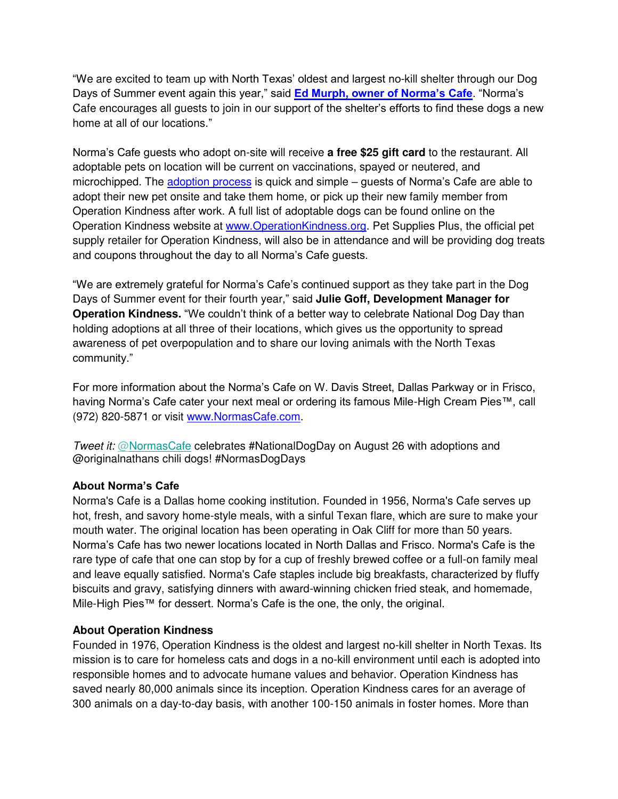"We are excited to team up with North Texas' oldest and largest no-kill shelter through our Dog Days of Summer event again this year," said **[Ed Murph, owner of Norma's Cafe](http://www.normascafe.com/about/)**. "Norma's Cafe encourages all guests to join in our support of the shelter's efforts to find these dogs a new home at all of our locations."

Norma's Cafe guests who adopt on-site will receive **a free \$25 gift card** to the restaurant. All adoptable pets on location will be current on vaccinations, spayed or neutered, and microchipped. The [adoption process](http://www.operationkindness.org/adopt/ready.php) is quick and simple – guests of Norma's Cafe are able to adopt their new pet onsite and take them home, or pick up their new family member from Operation Kindness after work. A full list of adoptable dogs can be found online on the Operation Kindness website at [www.OperationKindness.org.](http://www.operationkindness.org/) Pet Supplies Plus, the official pet supply retailer for Operation Kindness, will also be in attendance and will be providing dog treats and coupons throughout the day to all Norma's Cafe guests.

"We are extremely grateful for Norma's Cafe's continued support as they take part in the Dog Days of Summer event for their fourth year," said **Julie Goff, Development Manager for Operation Kindness.** "We couldn't think of a better way to celebrate National Dog Day than holding adoptions at all three of their locations, which gives us the opportunity to spread awareness of pet overpopulation and to share our loving animals with the North Texas community."

For more information about the Norma's Cafe on W. Davis Street, Dallas Parkway or in Frisco, having Norma's Cafe cater your next meal or ordering its famous Mile-High Cream Pies™, call (972) 820-5871 or visit [www.NormasCafe.com.](http://www.normascafe.com/)

*Tweet it:* [@NormasCafe](https://twitter.com/NormasCafe) celebrates #NationalDogDay on August 26 with adoptions and @originalnathans chili dogs! #NormasDogDays

#### **About Norma's Cafe**

Norma's Cafe is a Dallas home cooking institution. Founded in 1956, Norma's Cafe serves up hot, fresh, and savory home-style meals, with a sinful Texan flare, which are sure to make your mouth water. The original location has been operating in Oak Cliff for more than 50 years. Norma's Cafe has two newer locations located in North Dallas and Frisco. Norma's Cafe is the rare type of cafe that one can stop by for a cup of freshly brewed coffee or a full-on family meal and leave equally satisfied. Norma's Cafe staples include big breakfasts, characterized by fluffy biscuits and gravy, satisfying dinners with award-winning chicken fried steak, and homemade, Mile-High Pies™ for dessert. Norma's Cafe is the one, the only, the original.

### **About Operation Kindness**

Founded in 1976, Operation Kindness is the oldest and largest no-kill shelter in North Texas. Its mission is to care for homeless cats and dogs in a no-kill environment until each is adopted into responsible homes and to advocate humane values and behavior. Operation Kindness has saved nearly 80,000 animals since its inception. Operation Kindness cares for an average of 300 animals on a day-to-day basis, with another 100-150 animals in foster homes. More than